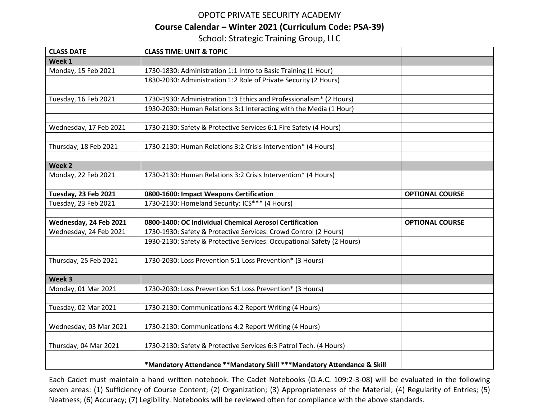## OPOTC PRIVATE SECURITY ACADEMY **Course Calendar – Winter 2021 (Curriculum Code: PSA-39)** School: Strategic Training Group, LLC

| <b>CLASS DATE</b>      | <b>CLASS TIME: UNIT &amp; TOPIC</b>                                     |                        |
|------------------------|-------------------------------------------------------------------------|------------------------|
| Week 1                 |                                                                         |                        |
| Monday, 15 Feb 2021    | 1730-1830: Administration 1:1 Intro to Basic Training (1 Hour)          |                        |
|                        | 1830-2030: Administration 1:2 Role of Private Security (2 Hours)        |                        |
|                        |                                                                         |                        |
| Tuesday, 16 Feb 2021   | 1730-1930: Administration 1:3 Ethics and Professionalism* (2 Hours)     |                        |
|                        | 1930-2030: Human Relations 3:1 Interacting with the Media (1 Hour)      |                        |
|                        |                                                                         |                        |
| Wednesday, 17 Feb 2021 | 1730-2130: Safety & Protective Services 6:1 Fire Safety (4 Hours)       |                        |
|                        |                                                                         |                        |
| Thursday, 18 Feb 2021  | 1730-2130: Human Relations 3:2 Crisis Intervention* (4 Hours)           |                        |
|                        |                                                                         |                        |
| Week 2                 |                                                                         |                        |
| Monday, 22 Feb 2021    | 1730-2130: Human Relations 3:2 Crisis Intervention* (4 Hours)           |                        |
|                        |                                                                         |                        |
| Tuesday, 23 Feb 2021   | 0800-1600: Impact Weapons Certification                                 | <b>OPTIONAL COURSE</b> |
| Tuesday, 23 Feb 2021   | 1730-2130: Homeland Security: ICS*** (4 Hours)                          |                        |
| Wednesday, 24 Feb 2021 | 0800-1400: OC Individual Chemical Aerosol Certification                 | <b>OPTIONAL COURSE</b> |
| Wednesday, 24 Feb 2021 | 1730-1930: Safety & Protective Services: Crowd Control (2 Hours)        |                        |
|                        | 1930-2130: Safety & Protective Services: Occupational Safety (2 Hours)  |                        |
|                        |                                                                         |                        |
| Thursday, 25 Feb 2021  | 1730-2030: Loss Prevention 5:1 Loss Prevention* (3 Hours)               |                        |
|                        |                                                                         |                        |
| Week 3                 |                                                                         |                        |
| Monday, 01 Mar 2021    | 1730-2030: Loss Prevention 5:1 Loss Prevention* (3 Hours)               |                        |
|                        |                                                                         |                        |
| Tuesday, 02 Mar 2021   | 1730-2130: Communications 4:2 Report Writing (4 Hours)                  |                        |
|                        |                                                                         |                        |
| Wednesday, 03 Mar 2021 | 1730-2130: Communications 4:2 Report Writing (4 Hours)                  |                        |
|                        |                                                                         |                        |
| Thursday, 04 Mar 2021  | 1730-2130: Safety & Protective Services 6:3 Patrol Tech. (4 Hours)      |                        |
|                        |                                                                         |                        |
|                        | *Mandatory Attendance **Mandatory Skill ***Mandatory Attendance & Skill |                        |

Each Cadet must maintain a hand written notebook. The Cadet Notebooks (O.A.C. 109:2-3-08) will be evaluated in the following seven areas: (1) Sufficiency of Course Content; (2) Organization; (3) Appropriateness of the Material; (4) Regularity of Entries; (5) Neatness; (6) Accuracy; (7) Legibility. Notebooks will be reviewed often for compliance with the above standards.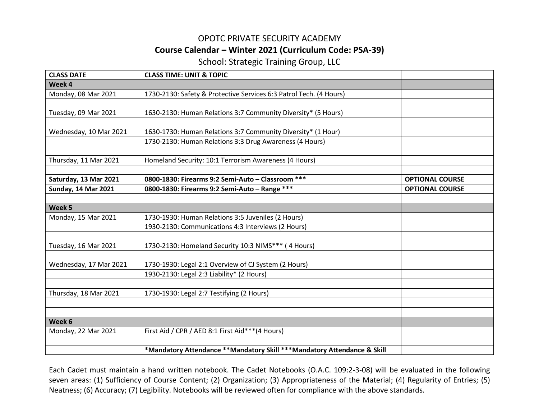## OPOTC PRIVATE SECURITY ACADEMY **Course Calendar – Winter 2021 (Curriculum Code: PSA-39)**

School: Strategic Training Group, LLC

| <b>CLASS DATE</b>          | <b>CLASS TIME: UNIT &amp; TOPIC</b>                                     |                        |
|----------------------------|-------------------------------------------------------------------------|------------------------|
| Week 4                     |                                                                         |                        |
| Monday, 08 Mar 2021        | 1730-2130: Safety & Protective Services 6:3 Patrol Tech. (4 Hours)      |                        |
|                            |                                                                         |                        |
| Tuesday, 09 Mar 2021       | 1630-2130: Human Relations 3:7 Community Diversity* (5 Hours)           |                        |
|                            |                                                                         |                        |
| Wednesday, 10 Mar 2021     | 1630-1730: Human Relations 3:7 Community Diversity* (1 Hour)            |                        |
|                            | 1730-2130: Human Relations 3:3 Drug Awareness (4 Hours)                 |                        |
| Thursday, 11 Mar 2021      | Homeland Security: 10:1 Terrorism Awareness (4 Hours)                   |                        |
|                            |                                                                         |                        |
| Saturday, 13 Mar 2021      | 0800-1830: Firearms 9:2 Semi-Auto - Classroom ***                       | <b>OPTIONAL COURSE</b> |
| <b>Sunday, 14 Mar 2021</b> | 0800-1830: Firearms 9:2 Semi-Auto - Range ***                           | <b>OPTIONAL COURSE</b> |
|                            |                                                                         |                        |
| Week 5                     |                                                                         |                        |
| Monday, 15 Mar 2021        | 1730-1930: Human Relations 3:5 Juveniles (2 Hours)                      |                        |
|                            | 1930-2130: Communications 4:3 Interviews (2 Hours)                      |                        |
|                            |                                                                         |                        |
| Tuesday, 16 Mar 2021       | 1730-2130: Homeland Security 10:3 NIMS*** (4 Hours)                     |                        |
| Wednesday, 17 Mar 2021     | 1730-1930: Legal 2:1 Overview of CJ System (2 Hours)                    |                        |
|                            | 1930-2130: Legal 2:3 Liability* (2 Hours)                               |                        |
|                            |                                                                         |                        |
| Thursday, 18 Mar 2021      | 1730-1930: Legal 2:7 Testifying (2 Hours)                               |                        |
|                            |                                                                         |                        |
| Week 6                     |                                                                         |                        |
| Monday, 22 Mar 2021        | First Aid / CPR / AED 8:1 First Aid***(4 Hours)                         |                        |
|                            |                                                                         |                        |
|                            | *Mandatory Attendance **Mandatory Skill ***Mandatory Attendance & Skill |                        |

Each Cadet must maintain a hand written notebook. The Cadet Notebooks (O.A.C. 109:2-3-08) will be evaluated in the following seven areas: (1) Sufficiency of Course Content; (2) Organization; (3) Appropriateness of the Material; (4) Regularity of Entries; (5) Neatness; (6) Accuracy; (7) Legibility. Notebooks will be reviewed often for compliance with the above standards.